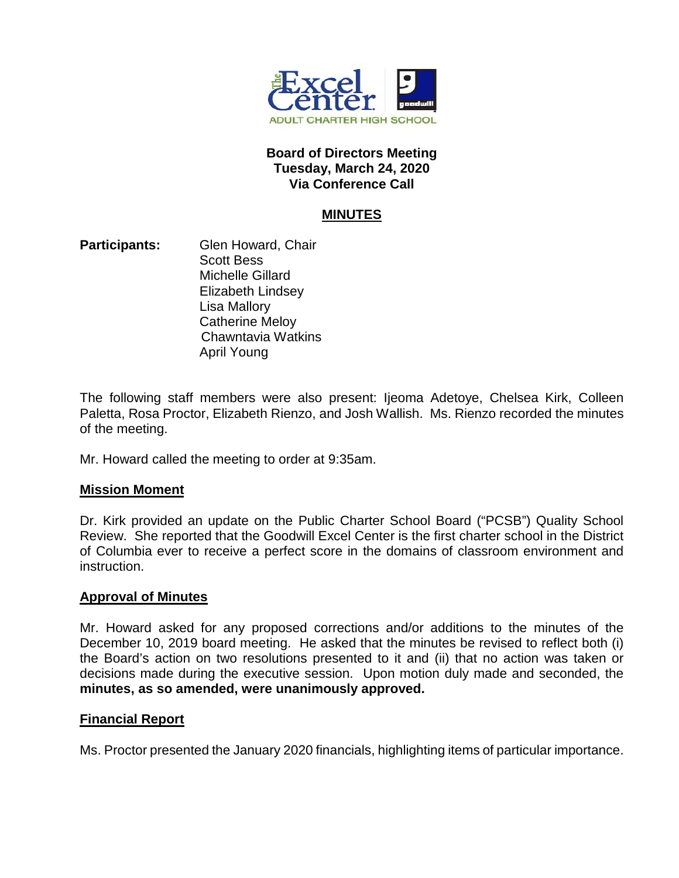

### **Board of Directors Meeting Tuesday, March 24, 2020 Via Conference Call**

# **MINUTES**

**Participants:** Glen Howard, Chair Scott Bess Michelle Gillard Elizabeth Lindsey Lisa Mallory Catherine Meloy Chawntavia Watkins April Young

The following staff members were also present: Ijeoma Adetoye, Chelsea Kirk, Colleen Paletta, Rosa Proctor, Elizabeth Rienzo, and Josh Wallish. Ms. Rienzo recorded the minutes of the meeting.

Mr. Howard called the meeting to order at 9:35am.

### **Mission Moment**

Dr. Kirk provided an update on the Public Charter School Board ("PCSB") Quality School Review. She reported that the Goodwill Excel Center is the first charter school in the District of Columbia ever to receive a perfect score in the domains of classroom environment and instruction.

### **Approval of Minutes**

Mr. Howard asked for any proposed corrections and/or additions to the minutes of the December 10, 2019 board meeting. He asked that the minutes be revised to reflect both (i) the Board's action on two resolutions presented to it and (ii) that no action was taken or decisions made during the executive session. Upon motion duly made and seconded, the **minutes, as so amended, were unanimously approved.** 

### **Financial Report**

Ms. Proctor presented the January 2020 financials, highlighting items of particular importance.